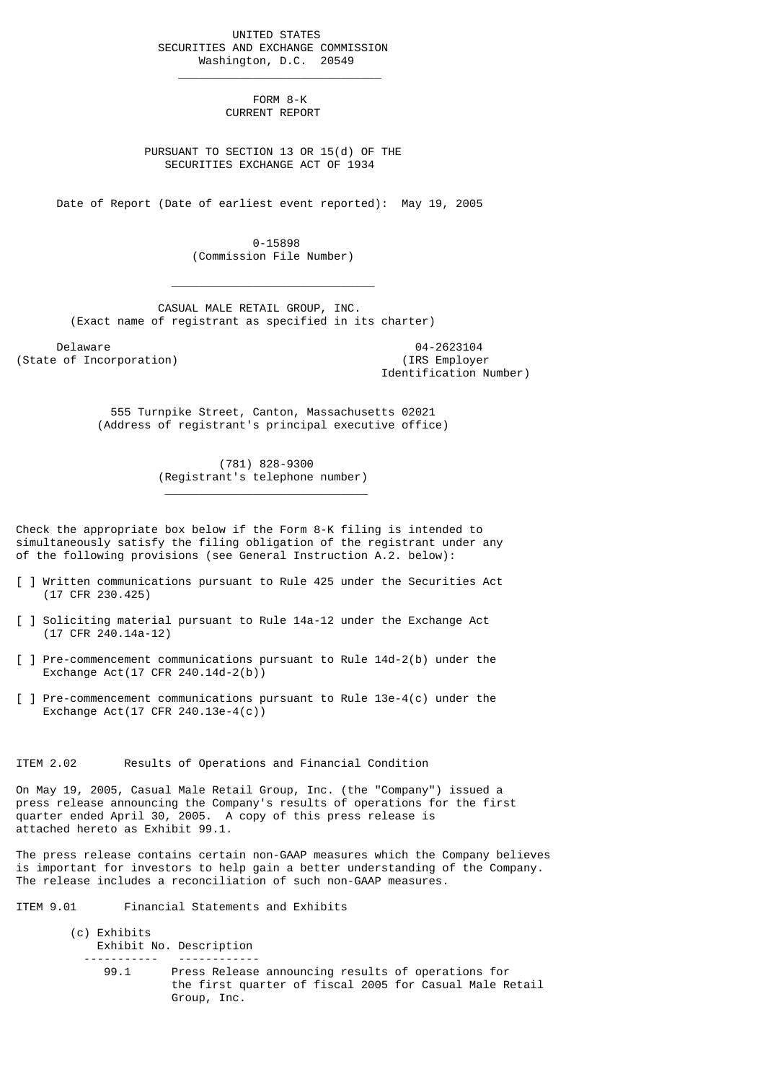UNITED STATES SECURITIES AND EXCHANGE COMMISSION Washington, D.C. 20549

 $\frac{1}{2}$  , and the set of the set of the set of the set of the set of the set of the set of the set of the set of the set of the set of the set of the set of the set of the set of the set of the set of the set of the set

 $\mathcal{L}_\text{max}$  and  $\mathcal{L}_\text{max}$  and  $\mathcal{L}_\text{max}$  and  $\mathcal{L}_\text{max}$  and  $\mathcal{L}_\text{max}$ 

\_\_\_\_\_\_\_\_\_\_\_\_\_\_\_\_\_\_\_\_\_\_\_\_\_\_\_\_\_\_

 FORM 8-K CURRENT REPORT

 PURSUANT TO SECTION 13 OR 15(d) OF THE SECURITIES EXCHANGE ACT OF 1934

Date of Report (Date of earliest event reported): May 19, 2005

 0-15898 (Commission File Number)

 CASUAL MALE RETAIL GROUP, INC. (Exact name of registrant as specified in its charter)

Delaware 04-2623104<br>
Delaware 04-2623104<br>
Of Incorporation (State of Incorporation)

Identification Number)

 555 Turnpike Street, Canton, Massachusetts 02021 (Address of registrant's principal executive office)

> (781) 828-9300 (Registrant's telephone number)

Check the appropriate box below if the Form 8-K filing is intended to simultaneously satisfy the filing obligation of the registrant under any of the following provisions (see General Instruction A.2. below):

- [ ] Written communications pursuant to Rule 425 under the Securities Act (17 CFR 230.425)
- [ ] Soliciting material pursuant to Rule 14a-12 under the Exchange Act (17 CFR 240.14a-12)
- [ ] Pre-commencement communications pursuant to Rule 14d-2(b) under the Exchange Act(17 CFR 240.14d-2(b))
- [ ] Pre-commencement communications pursuant to Rule 13e-4(c) under the Exchange Act(17 CFR 240.13e-4(c))

ITEM 2.02 Results of Operations and Financial Condition

On May 19, 2005, Casual Male Retail Group, Inc. (the "Company") issued a press release announcing the Company's results of operations for the first quarter ended April 30, 2005. A copy of this press release is attached hereto as Exhibit 99.1.

The press release contains certain non-GAAP measures which the Company believes is important for investors to help gain a better understanding of the Company. The release includes a reconciliation of such non-GAAP measures.

ITEM 9.01 Financial Statements and Exhibits

- (c) Exhibits Exhibit No. Description ----------- ------------
	- 99.1 Press Release announcing results of operations for the first quarter of fiscal 2005 for Casual Male Retail Group, Inc.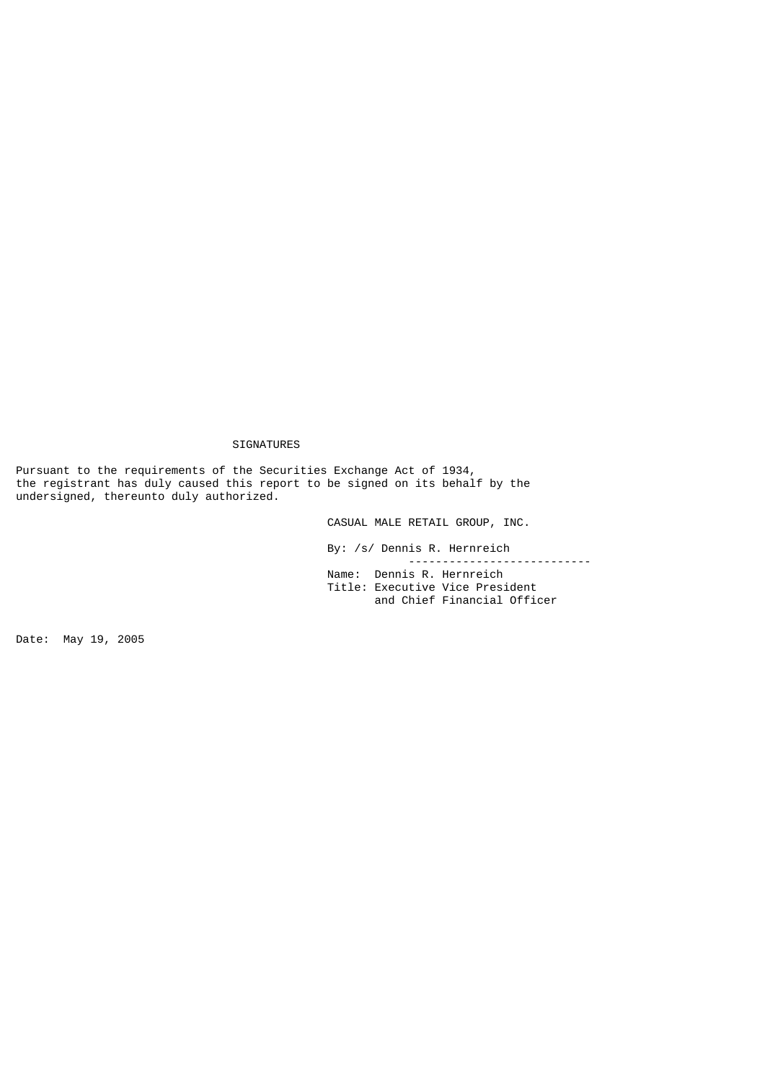## SIGNATURES

Pursuant to the requirements of the Securities Exchange Act of 1934, the registrant has duly caused this report to be signed on its behalf by the undersigned, thereunto duly authorized.

CASUAL MALE RETAIL GROUP, INC.

 By: /s/ Dennis R. Hernreich --------------------------- Name: Dennis R. Hernreich

 Title: Executive Vice President and Chief Financial Officer

Date: May 19, 2005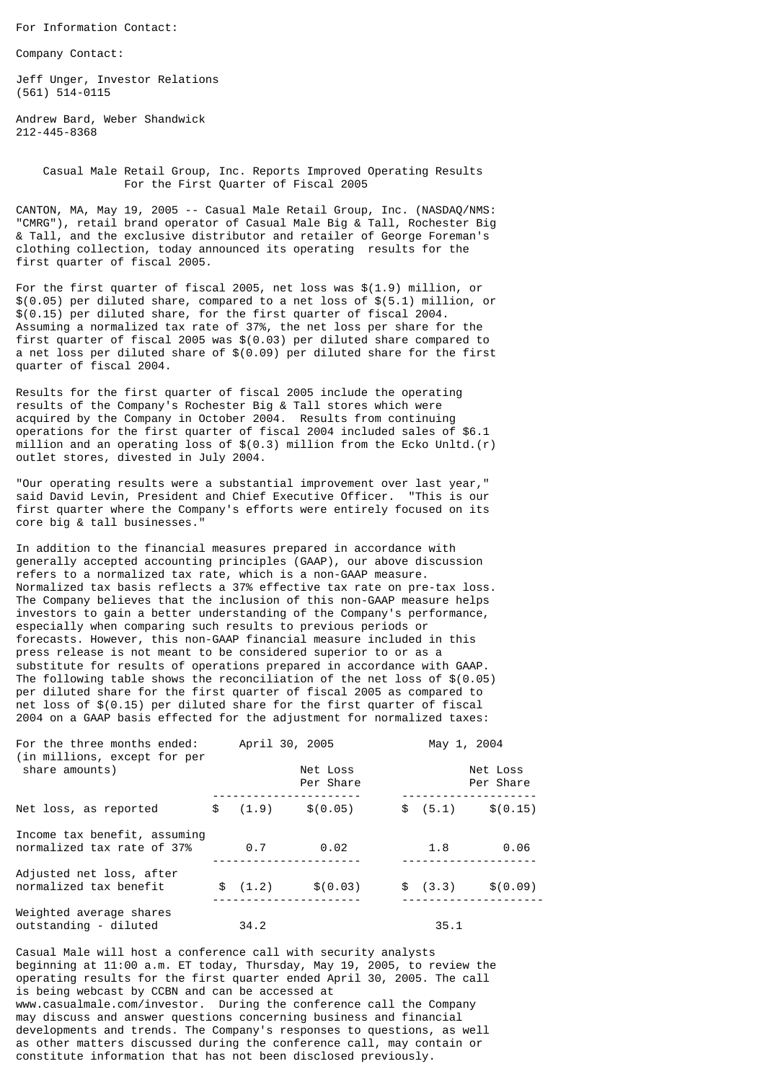For Information Contact:

Company Contact:

Jeff Unger, Investor Relations (561) 514-0115

Andrew Bard, Weber Shandwick 212-445-8368

> Casual Male Retail Group, Inc. Reports Improved Operating Results For the First Quarter of Fiscal 2005

CANTON, MA, May 19, 2005 -- Casual Male Retail Group, Inc. (NASDAQ/NMS: "CMRG"), retail brand operator of Casual Male Big & Tall, Rochester Big & Tall, and the exclusive distributor and retailer of George Foreman's clothing collection, today announced its operating results for the first quarter of fiscal 2005.

For the first quarter of fiscal 2005, net loss was \$(1.9) million, or \$(0.05) per diluted share, compared to a net loss of \$(5.1) million, or \$(0.15) per diluted share, for the first quarter of fiscal 2004. Assuming a normalized tax rate of 37%, the net loss per share for the first quarter of fiscal 2005 was \$(0.03) per diluted share compared to a net loss per diluted share of \$(0.09) per diluted share for the first quarter of fiscal 2004.

Results for the first quarter of fiscal 2005 include the operating results of the Company's Rochester Big & Tall stores which were acquired by the Company in October 2004. Results from continuing operations for the first quarter of fiscal 2004 included sales of \$6.1 million and an operating loss of \$(0.3) million from the Ecko Unltd.(r) outlet stores, divested in July 2004.

"Our operating results were a substantial improvement over last year," said David Levin, President and Chief Executive Officer. "This is our first quarter where the Company's efforts were entirely focused on its core big & tall businesses."

In addition to the financial measures prepared in accordance with generally accepted accounting principles (GAAP), our above discussion refers to a normalized tax rate, which is a non-GAAP measure. Normalized tax basis reflects a 37% effective tax rate on pre-tax loss. The Company believes that the inclusion of this non-GAAP measure helps investors to gain a better understanding of the Company's performance, especially when comparing such results to previous periods or forecasts. However, this non-GAAP financial measure included in this press release is not meant to be considered superior to or as a substitute for results of operations prepared in accordance with GAAP. The following table shows the reconciliation of the net loss of \$(0.05) per diluted share for the first quarter of fiscal 2005 as compared to net loss of \$(0.15) per diluted share for the first quarter of fiscal 2004 on a GAAP basis effected for the adjustment for normalized taxes:

| For the three months ended:<br>(in millions, except for per<br>share amounts) |  |                       | April 30, 2005 |  | May 1, 2004           |                    |  |
|-------------------------------------------------------------------------------|--|-----------------------|----------------|--|-----------------------|--------------------|--|
|                                                                               |  | Net Loss<br>Per Share |                |  | Net Loss<br>Per Share |                    |  |
| Net loss, as reported                                                         |  | \$ (1.9)              | \$(0.05)       |  |                       | $$(5.1)$ $$(0.15)$ |  |
| Income tax benefit, assuming<br>normalized tax rate of 37%                    |  | 0.7                   | 0.02           |  | 1.8                   | 0.06               |  |
| Adjusted net loss, after<br>normalized tax benefit                            |  | \$(1.2)               | \$ (0.03)      |  |                       | $$(3.3)$ $$(0.09)$ |  |
| Weighted average shares<br>outstanding - diluted                              |  | 34.2                  |                |  | 35.1                  |                    |  |

Casual Male will host a conference call with security analysts beginning at 11:00 a.m. ET today, Thursday, May 19, 2005, to review the operating results for the first quarter ended April 30, 2005. The call is being webcast by CCBN and can be accessed at www.casualmale.com/investor. During the conference call the Company may discuss and answer questions concerning business and financial developments and trends. The Company's responses to questions, as well as other matters discussed during the conference call, may contain or constitute information that has not been disclosed previously.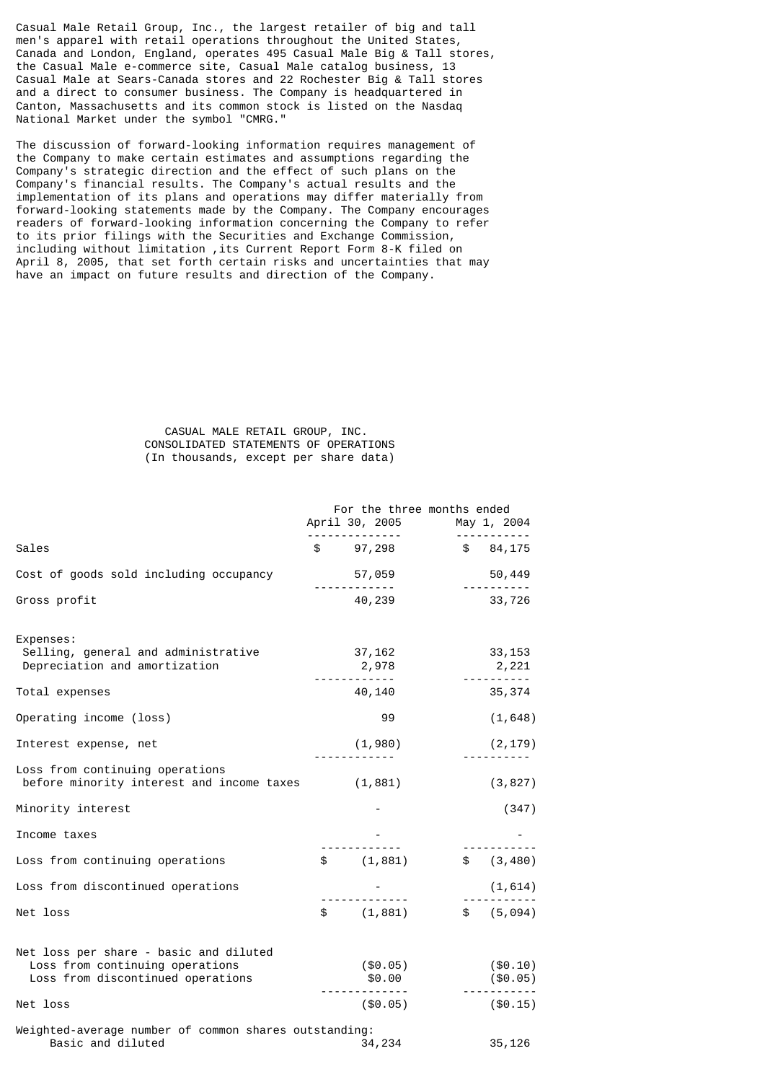Casual Male Retail Group, Inc., the largest retailer of big and tall men's apparel with retail operations throughout the United States, Canada and London, England, operates 495 Casual Male Big & Tall stores, the Casual Male e-commerce site, Casual Male catalog business, 13 Casual Male at Sears-Canada stores and 22 Rochester Big & Tall stores and a direct to consumer business. The Company is headquartered in Canton, Massachusetts and its common stock is listed on the Nasdaq National Market under the symbol "CMRG."

The discussion of forward-looking information requires management of the Company to make certain estimates and assumptions regarding the Company's strategic direction and the effect of such plans on the Company's financial results. The Company's actual results and the implementation of its plans and operations may differ materially from forward-looking statements made by the Company. The Company encourages readers of forward-looking information concerning the Company to refer to its prior filings with the Securities and Exchange Commission, including without limitation ,its Current Report Form 8-K filed on April 8, 2005, that set forth certain risks and uncertainties that may have an impact on future results and direction of the Company.

## CASUAL MALE RETAIL GROUP, INC. CONSOLIDATED STATEMENTS OF OPERATIONS (In thousands, except per share data)

|                                                                                                                | For the three months ended<br>April 30, 2005<br>. <u>.</u> | May 1, 2004             |
|----------------------------------------------------------------------------------------------------------------|------------------------------------------------------------|-------------------------|
| Sales                                                                                                          | $$97,298$ $$84,175$                                        |                         |
| Cost of goods sold including occupancy                                                                         | 57,059<br>------------                                     | 50,449                  |
| Gross profit                                                                                                   | 40,239                                                     | 33,726                  |
| Expenses:<br>Selling, general and administrative<br>Depreciation and amortization                              | 37,162<br>2,978                                            | 33, 153<br>2,221        |
| Total expenses                                                                                                 | 40,140                                                     | 35, 374                 |
| Operating income (loss)                                                                                        | 99                                                         | (1, 648)                |
| Interest expense, net                                                                                          | (1,980)                                                    | (2, 179)                |
| Loss from continuing operations<br>before minority interest and income taxes (1,881)                           |                                                            | (3, 827)                |
| Minority interest                                                                                              |                                                            | (347)                   |
| Income taxes                                                                                                   |                                                            |                         |
| Loss from continuing operations                                                                                | \$ (1,881)                                                 | \$ (3, 480)             |
| Loss from discontinued operations                                                                              |                                                            | (1,614)                 |
| Net loss                                                                                                       | \$ (1,881)                                                 | \$ (5,094)              |
| Net loss per share - basic and diluted<br>Loss from continuing operations<br>Loss from discontinued operations | $(\$0.05)$<br>\$0.00                                       | ( \$0.10)<br>$(\$0.05)$ |
| Net loss                                                                                                       | $($ \$0.05)                                                | ( \$0.15)               |
| Weighted-average number of common shares outstanding:<br>Basic and diluted                                     | 34,234                                                     | 35, 126                 |